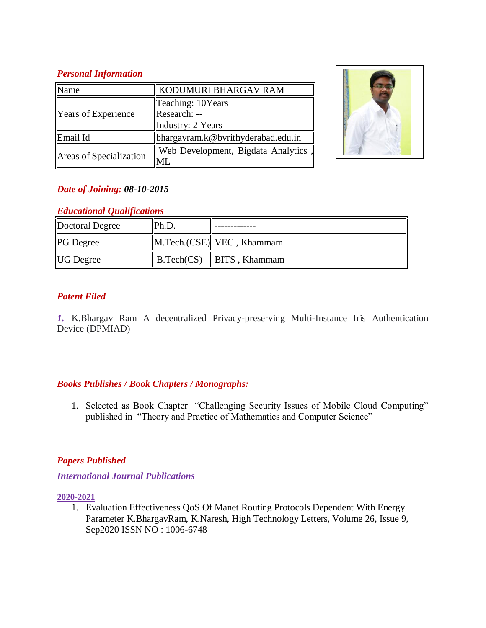# *Personal Information*

| <b>Name</b>                | KODUMURI BHARGAV RAM                |  |
|----------------------------|-------------------------------------|--|
| <b>Years of Experience</b> | Teaching: 10Years                   |  |
|                            | Research: --                        |  |
|                            | Industry: 2 Years                   |  |
| Email Id                   | bhargavram.k@bvrithyderabad.edu.in  |  |
| Areas of Specialization    | Web Development, Bigdata Analytics, |  |
|                            | ML.                                 |  |



# *Date of Joining: 08-10-2015*

# *Educational Qualifications*

| Doctoral Degree  | $\mathbb{P}$ h.D. |                                                  |
|------------------|-------------------|--------------------------------------------------|
| <b>PG</b> Degree |                   | $\ $ M.Tech.(CSE) $\ $ VEC, Khammam              |
| <b>UG</b> Degree |                   | $\parallel$ B.Tech(CS) $\parallel$ BITS, Khammam |

# *Patent Filed*

*1.* K.Bhargav Ram A decentralized Privacy-preserving Multi-Instance Iris Authentication Device (DPMIAD)

## *Books Publishes / Book Chapters / Monographs:*

1. Selected as Book Chapter "Challenging Security Issues of Mobile Cloud Computing" published in "Theory and Practice of Mathematics and Computer Science"

# *Papers Published*

## *International Journal Publications*

## **2020-2021**

1. Evaluation Effectiveness QoS Of Manet Routing Protocols Dependent With Energy Parameter K.BhargavRam, K.Naresh, High Technology Letters, Volume 26, Issue 9, Sep2020 ISSN NO : 1006-6748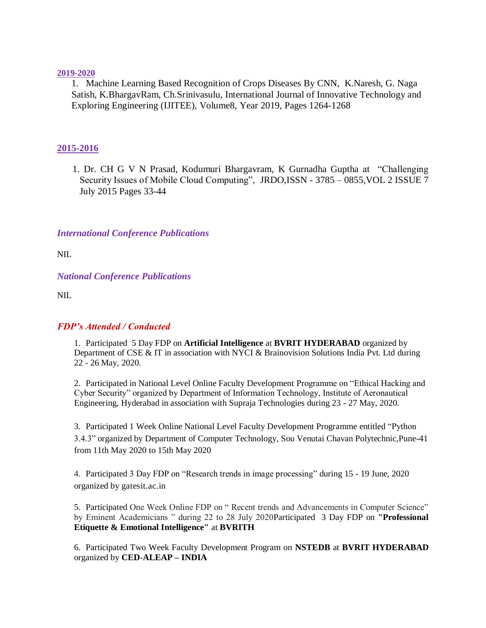#### **2019-2020**

1. Machine Learning Based Recognition of Crops Diseases By CNN, K.Naresh, G. Naga Satish, K.BhargavRam, Ch.Srinivasulu, International Journal of Innovative Technology and Exploring Engineering (IJITEE), Volume8, Year 2019, Pages 1264-1268

## **2015-2016**

1. Dr. CH G V N Prasad, Kodumuri Bhargavram, K Gurnadha Guptha at "Challenging Security Issues of Mobile Cloud Computing", JRDO, ISSN - 3785 – 0855, VOL 2 ISSUE 7 July 2015 Pages 33-44

## *International Conference Publications*

NIL.

*National Conference Publications*

NIL.

## *FDP's Attended / Conducted*

1. Participated 5 Day FDP on **Artificial Intelligence** at **BVRIT HYDERABAD** organized by Department of CSE & IT in association with NYCI & Brainovision Solutions India Pvt. Ltd during 22 - 26 May, 2020.

2. Participated in National Level Online Faculty Development Programme on "Ethical Hacking and Cyber Security" organized by Department of Information Technology, Institute of Aeronautical Engineering, Hyderabad in association with Supraja Technologies during 23 - 27 May, 2020.

3. Participated 1 Week Online National Level Faculty Development Programme entitled "Python 3.4.3" organized by Department of Computer Technology, Sou Venutai Chavan Polytechnic,Pune-41 from 11th May 2020 to 15th May 2020

4. Participated 3 Day FDP on "Research trends in image processing" during 15 - 19 June, 2020 organized by gatesit.ac.in

5. Participated One Week Online FDP on " Recent trends and Advancements in Computer Science" by Eminent Academicians " during 22 to 28 July 2020Participated 3 Day FDP on **"Professional Etiquette & Emotional Intelligence"** at **BVRITH**

6. Participated Two Week Faculty Development Program on **NSTEDB** at **BVRIT HYDERABAD** organized by **CED**-**ALEAP – INDIA**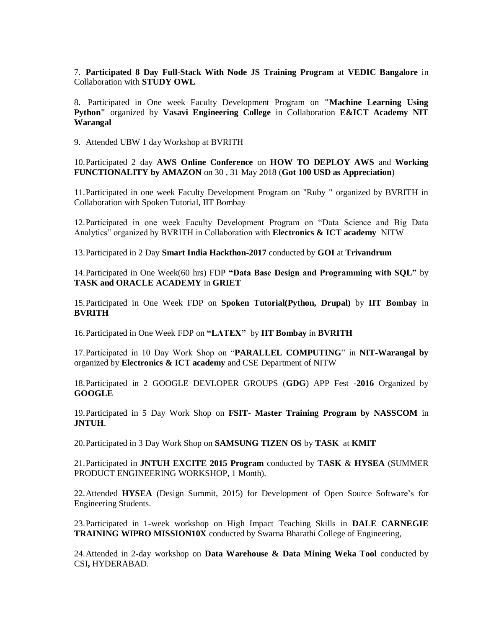7. **Participated 8 Day Full-Stack With Node JS Training Program** at **VEDIC Bangalore** in Collaboration with **STUDY OWL**

8. Participated in One week Faculty Development Program on **"Machine Learning Using Python"** organized by **Vasavi Engineering College** in Collaboration **E&ICT Academy NIT Warangal**

9. Attended UBW 1 day Workshop at BVRITH

10.Participated 2 day **AWS Online Conference** on **HOW TO DEPLOY AWS** and **Working FUNCTIONALITY by AMAZON** on 30 , 31 May 2018 (**Got 100 USD as Appreciation**)

11.Participated in one week Faculty Development Program on "Ruby " organized by BVRITH in Collaboration with Spoken Tutorial, IIT Bombay

12.Participated in one week Faculty Development Program on "Data Science and Big Data Analytics" organized by BVRITH in Collaboration with **Electronics & ICT academy** NITW

13.Participated in 2 Day **Smart India Hackthon-2017** conducted by **GOI** at **Trivandrum**

14.Participated in One Week(60 hrs) FDP **"Data Base Design and Programming with SQL"** by **TASK and ORACLE ACADEMY** in **GRIET**

15.Participated in One Week FDP on **Spoken Tutorial(Python, Drupal)** by **IIT Bombay** in **BVRITH** 

16.Participated in One Week FDP on **"LATEX"** by **IIT Bombay** in **BVRITH**

17.Participated in 10 Day Work Shop on "**PARALLEL COMPUTING**" in **NIT-Warangal by** organized by **Electronics & ICT academy** and CSE Department of NITW

18.Participated in 2 GOOGLE DEVLOPER GROUPS (**GDG**) APP Fest -**2016** Organized by **GOOGLE**

19.Participated in 5 Day Work Shop on **FSIT- Master Training Program by NASSCOM** in **JNTUH**.

20.Participated in 3 Day Work Shop on **SAMSUNG TIZEN OS** by **TASK** at **KMIT**

21.Participated in **JNTUH EXCITE 2015 Program** conducted by **TASK** & **HYSEA** (SUMMER PRODUCT ENGINEERING WORKSHOP, 1 Month).

22.Attended **HYSEA** (Design Summit, 2015) for Development of Open Source Software's for Engineering Students.

23.Participated in 1-week workshop on High Impact Teaching Skills in **DALE CARNEGIE TRAINING WIPRO MISSION10X** conducted by Swarna Bharathi College of Engineering,

24.Attended in 2-day workshop on **Data Warehouse & Data Mining Weka Tool** conducted by CSI**,** HYDERABAD.